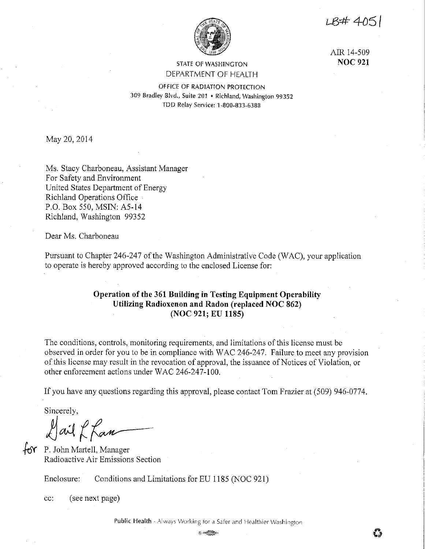$LR#405$ 



AIR 14-509 **NOC 921** 

## STATE OF WASHINGTON DEPARTMENT OF HEALTH

OFFICE OF RADIATION PROTECTION 309 Bradley Blvd., Suite 201 • Richland, Washington 99352 TDD Relay Service: 1-800-833-6388

May 20, 2014

Ms. Stacy Charboneau, Assistant Manager For Safety and Environment United States Department of Energy Richland Operations Office P.O. Box 550, MSIN: A5-14 Richland, Washington 99352

Dear Ms. Charboneau

Pursuant to Chapter 246-247 of the Washington Administrative Code (WAC), your application to operate is hereby approved according to the enclosed License for:

# **Operation of the 361 Building in Testing Equipment Operability Utilizing Radioxenon and Radon (replaced NOC 862) (NOC 921; EU 1185)**

The conditions, controls, monitoring requirements, and limitations of this license must be observed in order for you to be in compliance with WAC 246-247. Failure to meet any provision of this license may result in the revocation of approval, the issuance of Notices of Violation, or other enforcement actions under WAC 246-247-100.

If you have any questions regarding this approval, please contact Tom Frazier at (509) 946-0774.

Sincerely,

fail L Kan

for P. John Martell, Manager Radioactive Air Emissions Section

Enclosure: Conditions and Limitations for EU 1185 (NOC 921)

cc: (see next page)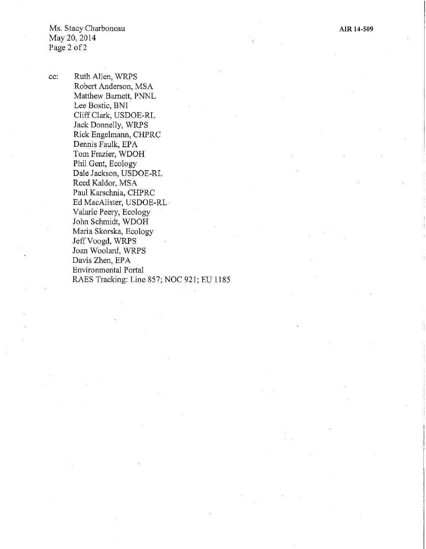**AIR 14-509** 

Ms. Stacy Charboneau May 20, 2014 Page 2 of 2

cc: Ruth Allen, WRPS Robert Anderson, MSA Matthew Barnett, PNNL Lee Bostic, BNI Cliff Clark, USDOE-RL Jack Donnelly, WRPS Rick Engelmann, CHPRC Dennis Faulk, EPA Tom Frazier, WDOH Phil Gent, Ecology Dale Jackson, USDOE-RL Reed Kaldor, MSA Paul Karschnia, CHPRC Ed MacAlister, USDOE-RL · Valarie Peery, Ecology John Schmidt, WDOH Maria Skorska, Ecology Jeff Voogd, WRPS Joan Woolard, WRPS Davis Zhen, EPA Environmental Portal RAES Tracking: Line 857; NOC 921; EU 1185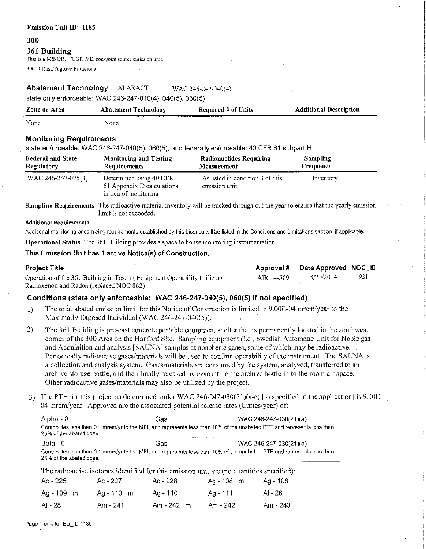#### **300**

#### **361 Building**

This is a MINOR, FUGITIVE, non-point source emission unit.

300 Diffuse/Fugitive Emissions

## **Abatement Technology** ALARACT WAC 246-247-040(4)

state only enforceable: WAC 246-247-010(4), 040(5), 060(5)

| Zone or Area | <b>Abatement Technology</b> | Required $#$ of Units | <b>Additional Description</b> |
|--------------|-----------------------------|-----------------------|-------------------------------|
| None         | None                        |                       |                               |

### **Monitoring Requirements**

state enforceable: WAC 246-247-040(5), 060(5), and federally enforceable: 40 CFR 61 subpart H

| <b>Federal and State</b> | <b>Monitoring and Testing</b>                                                  | Radionuclides Requiring                            | <b>Sampling</b> |  |
|--------------------------|--------------------------------------------------------------------------------|----------------------------------------------------|-----------------|--|
| <b>Regulatory</b>        | Requirements                                                                   | Measurement                                        | Frequency       |  |
| WAC 246-247-075[3]       | Determined using 40 CFR<br>61 Appendix D calculations<br>in lieu of monitoring | As listed in condition 3 of this<br>emission unit. | Inventory       |  |

**Sampling Requirements** The radioactive material inventory will be tracked through out the year to ensure that the yearly emission limit is not exceeded.

#### **Additional Requirements**

Additional monitoring or sampling requirements established by this License will be listed in the Conditions and Limitations section, if applicable.

**Operational Status** The 361 Building provides a space to house monitoring instrumentation.

### **This Emission Unit has 1 active Notice(s) of Construction.**

| <b>Project Title</b>                                                     |            | Approval # Date Approved NOC_ID |      |
|--------------------------------------------------------------------------|------------|---------------------------------|------|
| Operation of the 361 Building in Testing Equipment Operability Utilizing | AIR 14-509 | 5/20/2014                       | -921 |
| Radioxenon and Radon (replaced NOC 862)                                  |            |                                 |      |

### **Conditions (state only enforceable: WAC 246-247-040(5), 060(5) if not specified)**

- 1) The total abated emission limit for this Notice of Construction is limited to 9.00E-04 mrem/year to the Maximally Exposed Individual (WAC 246-247-040(5)).
- 2) The 361 Building is pre-cast concrete portable equipment shelter that is pennanently located in the southwest comer of the 300 Area on the Hanford Site. Sampling equipment (i.e., Swedish Automatic Unit for Noble gas and Acquisition and analysis [SAUNA] samples atmospheric gases, some of which may be radioactive. Periodically radioactive gases/materials will be used to confinn operability of the instrument. The SAUNA is a collection and analysis system. Gases/materials are consumed by the system, analyzed, transferred to an archive storage bottle, and then finally released by evacuating the archive bottle in to the room air space. Other radioactive gases/materials may also be utilized by the project.
- 3) The PTE for this project as determined under WAC 246-247-030(21)( $a-e$ ) [as specified in the application] is 9.00E-04 mrem/year. Approved are the associated potential release rates (Curies/year) of:

| Alpha - 0                                                                                                                                          | Gas | WAC 246-247-030(21)(a)                                                                                                  |  |  |
|----------------------------------------------------------------------------------------------------------------------------------------------------|-----|-------------------------------------------------------------------------------------------------------------------------|--|--|
| 25% of the abated dose.                                                                                                                            |     | Contributes less than 0.1 mrem/yr to the MEI, and represents less than 10% of the unabated PTE and represents less than |  |  |
| Beta - 0                                                                                                                                           | Gas | WAC 246-247-030(21)(a)                                                                                                  |  |  |
| Contributes less than 0.1 mrem/yr to the MEI, and represents less than 10% of the unabated PTE and represents less than<br>25% of the abated dose. |     |                                                                                                                         |  |  |

| The radioactive isotopes identified for this emission unit are (no quantities specified): |              |            |            |          |  |
|-------------------------------------------------------------------------------------------|--------------|------------|------------|----------|--|
| Ac - 225                                                                                  | Ac - 227     | Ac - 228   | Ag - 108 m | Ag - 108 |  |
| $Aq - 109$ m                                                                              | $Aq - 110$ m | Aa - 110   | Aa - 111   | AI - 26  |  |
| AI - 28                                                                                   | $Am - 241$   | Am - 242 m | Am - 242   | Am - 243 |  |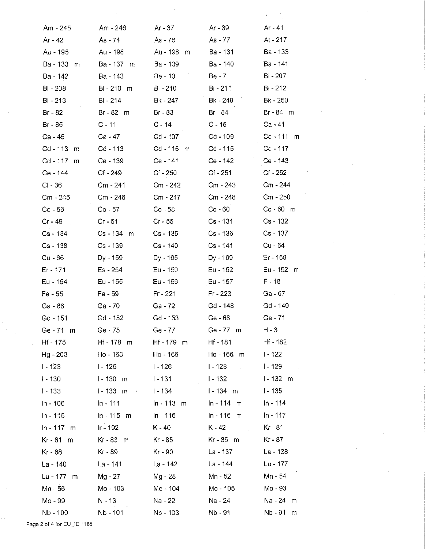| Am - 245      | Am - 246                     | Ar - 37             | Ar - 39                    | Ar - 41         |
|---------------|------------------------------|---------------------|----------------------------|-----------------|
| Ar - 42       | As - 74                      | As - 76             | As - 77                    | At - 217        |
| Au - 195      | Au - 198                     | Au - 198<br>m       | Ba - 131                   | Ba - 133        |
| Ba - 133<br>m | Ba - 137 m                   | Ba - 139            | Ba - 140                   | Ba - 141        |
| Ba - 142      | Ba - 143                     | Be - 10             | Be - 7                     | Bi - 207        |
| Bi - 208      | Bi-210 m                     | Bi - 210            | Bi - 211                   | Bi - 212        |
| Bi - 213      | Bi - 214                     | Bk - 247            | Bk - 249                   | <b>Bk - 250</b> |
| Br - 82       | Br - 82 m                    | $Br - 83$           | Br - 84                    | Br-84 m         |
| Br - 85       | $C - 11$                     | C - 14              | C - 15                     | Ca - 41         |
| Ca - 45       | Ca - 47                      | Cd - 107<br>$\cdot$ | $Cd - 109$                 | $Cd - 111$<br>m |
| Cd - 113<br>m | Cd - 113                     | $Cd - 115$<br>m     | Cd - 115                   | Cd - 117        |
| Cd - 117<br>m | Ce - 139                     | Ce - 141            | Ce - 142                   | Ce - 143        |
| Ce - 144      | $Cf - 249$                   | $Cf - 250$          | $Cf - 251$                 | Cf - 252        |
| $CI - 36$     | Cm - 241                     | Cm - 242            | Cm - 243                   | Cm - 244        |
| Cm - 245      | Cm - 246                     | Cm - 247            | Cm - 248                   | $Cm - 250$      |
| Co - 56       | $Co - 57$                    | $Co - 58$           | $Co - 60$                  | $Co - 60$ m     |
| Cr - 49       | $Cr - 51$                    | $Cr - 55$           | $Cs - 131$                 | Cs - 132        |
| Cs - 134      | Cs - 134 m                   | Cs - 135            | Cs - 136                   | Cs - 137        |
| $Cs - 138$    | Cs - 139                     | $Cs - 140$          | $Cs - 141$                 | Cu - 64         |
| Cu - 66       | Dy - 159                     | Dy - 165            | Dy - 169                   | Er - 169        |
| Er - 171      | Es - 254                     | Eu - 150            | Eu - 152                   | Eu - 152<br>m   |
| Eu - 154      | Eu - 155                     | Eu - 156            | Eu - 157                   | $F - 18$        |
| $Fe - 55$     | Fe - 59                      | $F - 221$           | Fr - 223                   | Ga - 67         |
| Ga - 68       | Ga - 70                      | Ga - 72             | Gd - 148                   | Gd - 149        |
| $Gd - 151$    | Gd - 152                     | Gd - 153            | Ge - 68                    | Ge - 71         |
| Ge - 71 m     | Ge - 75                      | Ge - 77             | Ge - 77 m                  | H - 3           |
| Hf - 175      | $Hf - 178$ m                 | Hf - 179 m          | Hf - 181                   | Hf - 182        |
| Hg - 203      | Ho - 163                     | Ho - 166            | Ho - 166 m                 | $1 - 122$       |
| $1 - 123$     | <u> 1- 125</u>               | $1 - 126$           | $1 - 128$                  | $1 - 129$       |
| $1 - 130$     | $1 - 130$ m                  | l - 131             | $1 - 132$                  | $1 - 132$ m     |
| $1 - 133$     | $1 - 133$ m<br>$\sim$ $\sim$ | l - 134             | $1 - 134$ m                | $1 - 135$       |
| $ln - 106$    | $ln - 111$                   | $ln - 113$ m        | $ln - 114$ m               | $ln - 114$      |
| $ln - 115$    | $\ln - 115$ m                | In - 116            | $ln - 116$ m               | In - 117        |
| $ln - 117$ m  | $Ir - 192$                   | K - 40              | $K - 42$<br>$\mathbb{R}^2$ | Kr - 81         |
| Kr - 81 m     | Kr-83 m                      | Kr - 85             | Kr-85 m                    | Kr - 87         |
| Kr - 88       | Kr - 89                      | Kr - 90<br>V.       | La - 137                   | La - 138        |
| $La - 140$    | La - 141                     | La - 142            | La - 144                   | Lu - 177        |
| Lu - 177<br>m | Mg - 27                      | Mg - 28             | Mn - 52                    | Mn - 54         |
| Mn - 56       | Mo - 103                     | Mo - 104            | Mo - 105                   | Mo - 93         |
| Mo - 99       | N - 13                       | Na - 22             | Na - 24                    | Na - 24<br>m    |
| Nb - 100      | Nb - 101                     | Nb - 103            | Nb - 91                    | Nb - 91<br>m    |
|               |                              |                     |                            |                 |

Page 2 of 4 for EU\_ID 1185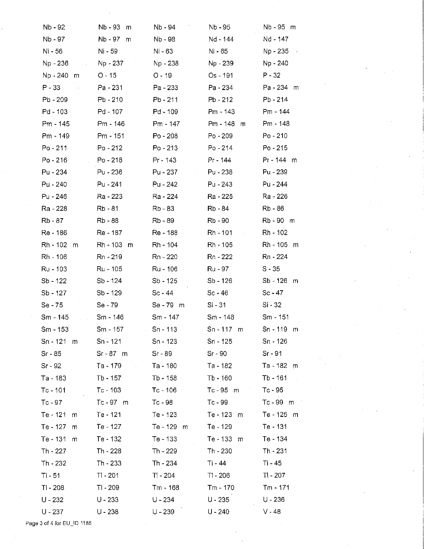| Nb - 92                   | Nb - 93<br>m | Nb - 94       | Nb - 95       | Nb-95 m       |
|---------------------------|--------------|---------------|---------------|---------------|
| Nb - 97                   | Nb - 97<br>m | Nb - 98       | Nd - 144      | Nd - 147      |
| Ni - 56                   | Ni - 59      | Ni - 63       | Ni - 65       | Np - 235      |
| Np - 236<br>$\mathcal{L}$ | Np - 237     | Np - 238      | Np - 239      | Np - 240      |
| Np - 240 m                | $O - 15$     | $O - 19$      | Os - 191      | $P - 32$      |
| $P - 33$                  | Pa - 231     | Pa - 233      | Pa - 234      | Pa - 234 m    |
| Pb - 209                  | Pb - 210     | $Pb - 211$    | Pb - 212      | Pb - 214      |
| $Pd - 103$                | Pd - 107     | Pd - 109      | Pm - 143      | Pm - 144      |
| Pm - 145                  | Pm - 146     | Pm - 147      | Pm - 148<br>m | Pm - 148      |
| Pm - 149                  | Pm - 151     | $Po - 208$    | $Po - 209$    | $Po - 210$    |
| $Po - 211$                | Po - 212     | $Po - 213$    | $Po - 214$    | $Po - 215$    |
| $Po - 216$                | $Po - 218$   | Pr - 143      | Pr - 144      | Pr - 144 m    |
| Pu - 234                  | Pu - 236     | Pu - 237      | $Pu - 238$    | Pu - 239      |
| Pu - 240                  | Pu - 241     | Pu - 242      | Pu - 243      | Pu - 244      |
| Pu - 246                  | Ra - 223     | Ra - 224      | Ra - 225      | Ra - 226      |
| Ra - 228                  | Rb - 81      | Rb - 83       | Rb - 84       | Rb - 86       |
| Rb - 87                   | Rb - 88      | Rb - 89       | Rb - 90       | Rb-90 m       |
| Re - 186                  | Re - 187     | Re - 188      | Rh - 101      | Rh - 102      |
| Rh - 102<br>m             | Rh - 103 m   | Rh - 104      | Rh - 105      | Rh - 105<br>m |
| Rh - 106                  | Rn - 219     | Rn - 220      | $Rn - 222$    | Rn - 224      |
| Ru - 103                  | Ru - 105     | Ru - 106      | Ru - 97       | $S - 35$      |
| Sb - 122                  | $Sb - 124$   | $Sb - 125$    | $Sb - 126$    | Sb - 126 m    |
| Sb - 127                  | Sb - 129     | $Sc - 44$     | $Sc - 46$     | $Sc - 47$     |
| Se - 75                   | Se - 79      | Se - 79 m     | Si - 31       | Si - 32       |
| Sm - 145                  | Sm - 146     | Sm - 147      | Sm - 148      | Sm - 151      |
| Sm - 153                  | Sm - 157     | $Sn - 113$    | $Sn - 117$ m  | Sn-119 m      |
| $Sn - 121$ m              | Sn - 121     | Sn - 123      | $Sn - 125$    | Sn - 126      |
| $Sr - 85$                 | $Sr - 87$ m  | $Sr - 89$     | $Sr - 90$     | $Sr-91$       |
| Sr - 92                   | Ta - 179     | Ta - 180      | Ta - 182      | Ta - 182 m    |
| Ta - 183                  | Tb - 157     | $Tb - 158$    | $Tb - 160$    | Tb - 161      |
| $Tc - 101$                | $Tc - 103$   | $Tc - 106$    | Tc-95 m       | $Tc - 95$     |
| $Tc - 97$                 | Tc-97 m      | $Tc - 98$     | Tc - 99       | Tc-99 m       |
| Te - 121<br>m             | Te - 121     | Te - 123      | Te - 123 m    | Te - 125 m    |
| Te - 127<br>m             | Te - 127     | Te - 129<br>m | Te - 129      | Te - 131      |
| Te - 131<br>m             | Te - 132     | Te - 133      | Te - 133 m    | Te - 134      |
| Th - 227                  | Th - 228     | Th - 229      | Th - 230      | Th - 231      |
| Th - 232                  | Th - 233     | Th - 234      | Ti - 44       | Ti - 45       |
| $Ti - 51$                 | $TI - 201$   | $T! - 204$    | $TI - 206$    | $T - 207$     |
| $TI - 208$                | $T - 209$    | Tm - 168      | Tm - 170      | Tm - 171      |
| $U - 232$                 | $U - 233$    | $U - 234$     | $U - 235$     | U - 236       |
| $U - 237$                 | $U - 238$    | $U - 239$     | $U - 240$     | $V - 48$      |

Page 3 of 4 for EU\_ID 1185